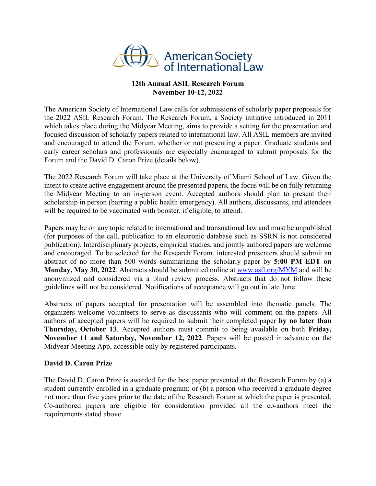

## **12th Annual ASIL Research Forum November 10-12, 2022**

The American Society of International Law calls for submissions of scholarly paper proposals for the 2022 ASIL Research Forum. The Research Forum, a Society initiative introduced in 2011 which takes place during the Midyear Meeting, aims to provide a setting for the presentation and focused discussion of scholarly papers related to international law. All ASIL members are invited and encouraged to attend the Forum, whether or not presenting a paper. Graduate students and early career scholars and professionals are especially encouraged to submit proposals for the Forum and the David D. Caron Prize (details below).

The 2022 Research Forum will take place at the University of Miami School of Law. Given the intent to create active engagement around the presented papers, the focus will be on fully returning the Midyear Meeting to an in-person event. Accepted authors should plan to present their scholarship in person (barring a public health emergency). All authors, discussants, and attendees will be required to be vaccinated with booster, if eligible, to attend.

Papers may be on any topic related to international and transnational law and must be unpublished (for purposes of the call, publication to an electronic database such as SSRN is not considered publication). Interdisciplinary projects, empirical studies, and jointly authored papers are welcome and encouraged. To be selected for the Research Forum, interested presenters should submit an abstract of no more than 500 words summarizing the scholarly paper by **5:00 PM EDT on Monday, May 30, 2022**. Abstracts should be submitted online at [www.asil.org/MYM](http://www.asil.org/MYM) and will be anonymized and considered via a blind review process. Abstracts that do not follow these guidelines will not be considered. Notifications of acceptance will go out in late June.

Abstracts of papers accepted for presentation will be assembled into thematic panels. The organizers welcome volunteers to serve as discussants who will comment on the papers. All authors of accepted papers will be required to submit their completed paper **by no later than Thursday, October 13**. Accepted authors must commit to being available on both **Friday, November 11 and Saturday, November 12, 2022**. Papers will be posted in advance on the Midyear Meeting App, accessible only by registered participants.

## **David D. Caron Prize**

The David D. Caron Prize is awarded for the best paper presented at the Research Forum by (a) a student currently enrolled in a graduate program; or (b) a person who received a graduate degree not more than five years prior to the date of the Research Forum at which the paper is presented. Co-authored papers are eligible for consideration provided all the co-authors meet the requirements stated above.